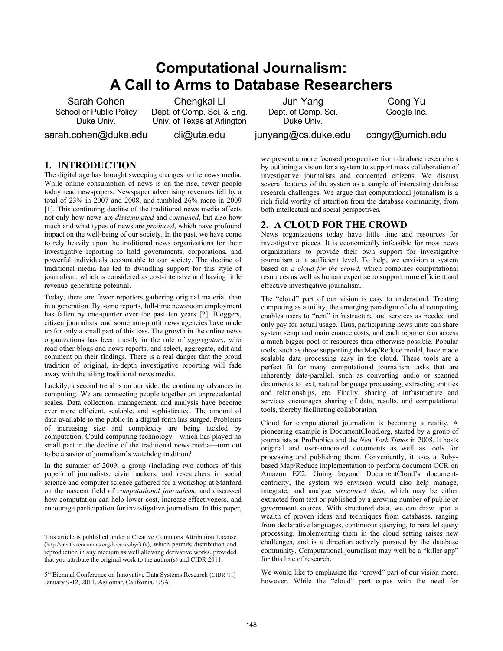# **Computational Journalism: A Call to Arms to Database Researchers**

Sarah Cohen School of Public Policy Duke Univ.

Chengkai Li Dept. of Comp. Sci. & Eng. Univ. of Texas at Arlington

sarah.cohen@duke.edu

cli@uta.edu

Jun Yang Dept. of Comp. Sci. Duke Univ.

Cong Yu Google Inc.

junyang@cs.duke.edu

congy@umich.edu

### **1. INTRODUCTION**

The digital age has brought sweeping changes to the news media. While online consumption of news is on the rise, fewer people today read newspapers. Newspaper advertising revenues fell by a total of 23% in 2007 and 2008, and tumbled 26% more in 2009 [1]. This continuing decline of the traditional news media affects not only how news are *disseminated* and *consumed*, but also how much and what types of news are *produced*, which have profound impact on the well-being of our society. In the past, we have come to rely heavily upon the traditional news organizations for their investigative reporting to hold governments, corporations, and powerful individuals accountable to our society. The decline of traditional media has led to dwindling support for this style of journalism, which is considered as cost-intensive and having little revenue-generating potential.

Today, there are fewer reporters gathering original material than in a generation. By some reports, full-time newsroom employment has fallen by one-quarter over the past ten years [2]. Bloggers, citizen journalists, and some non-profit news agencies have made up for only a small part of this loss. The growth in the online news organizations has been mostly in the role of *aggregators*, who read other blogs and news reports, and select, aggregate, edit and comment on their findings. There is a real danger that the proud tradition of original, in-depth investigative reporting will fade away with the ailing traditional news media.

Luckily, a second trend is on our side: the continuing advances in computing. We are connecting people together on unprecedented scales. Data collection, management, and analysis have become ever more efficient, scalable, and sophisticated. The amount of data available to the public in a digital form has surged. Problems of increasing size and complexity are being tackled by computation. Could computing technology—which has played no small part in the decline of the traditional news media—turn out to be a savior of journalism's watchdog tradition?

In the summer of 2009, a group (including two authors of this paper) of journalists, civic hackers, and researchers in social science and computer science gathered for a workshop at Stanford on the nascent field of *computational journalism*, and discussed how computation can help lower cost, increase effectiveness, and encourage participation for investigative journalism. In this paper,

This article is published under a Creative Commons Attribution License (http://creativecommons.org/licenses/by/3.0/), which permits distribution and reproduction in any medium as well allowing derivative works, provided that you attribute the original work to the author(s) and CIDR 2011.

5<sup>th</sup> Biennial Conference on Innovative Data Systems Research (CIDR '11) January 9-12, 2011, Asilomar, California, USA.

we present a more focused perspective from database researchers by outlining a vision for a system to support mass collaboration of investigative journalists and concerned citizens. We discuss several features of the system as a sample of interesting database research challenges. We argue that computational journalism is a rich field worthy of attention from the database community, from both intellectual and social perspectives.

#### **2. A CLOUD FOR THE CROWD**

News organizations today have little time and resources for investigative pieces. It is economically infeasible for most news organizations to provide their own support for investigative journalism at a sufficient level. To help, we envision a system based on *a cloud for the crowd*, which combines computational resources as well as human expertise to support more efficient and effective investigative journalism.

The "cloud" part of our vision is easy to understand. Treating computing as a utility, the emerging paradigm of cloud computing enables users to "rent" infrastructure and services as needed and only pay for actual usage. Thus, participating news units can share system setup and maintenance costs, and each reporter can access a much bigger pool of resources than otherwise possible. Popular tools, such as those supporting the Map/Reduce model, have made scalable data processing easy in the cloud. These tools are a perfect fit for many computational journalism tasks that are inherently data-parallel, such as converting audio or scanned documents to text, natural language processing, extracting entities and relationships, etc. Finally, sharing of infrastructure and services encourages sharing of data, results, and computational tools, thereby facilitating collaboration.

Cloud for computational journalism is becoming a reality. A pioneering example is DocumentCloud.org, started by a group of journalists at ProPublica and the *New York Times* in 2008. It hosts original and user-annotated documents as well as tools for processing and publishing them. Conveniently, it uses a Rubybased Map/Reduce implementation to perform document OCR on Amazon EZ2. Going beyond DocumentCloud's documentcentricity, the system we envision would also help manage, integrate, and analyze *structured data*, which may be either extracted from text or published by a growing number of public or government sources. With structured data, we can draw upon a wealth of proven ideas and techniques from databases, ranging from declarative languages, continuous querying, to parallel query processing. Implementing them in the cloud setting raises new challenges, and is a direction actively pursued by the database community. Computational journalism may well be a "killer app" for this line of research.

We would like to emphasize the "crowd" part of our vision more, however. While the "cloud" part copes with the need for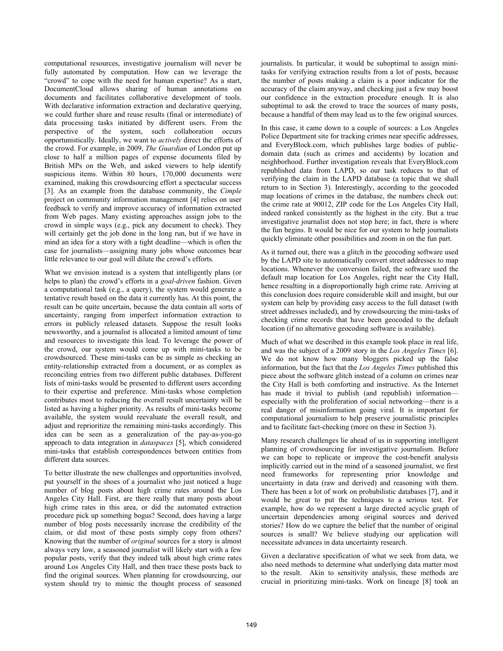computational resources, investigative journalism will never be fully automated by computation. How can we leverage the "crowd" to cope with the need for human expertise? As a start, DocumentCloud allows sharing of human annotations on documents and facilitates collaborative development of tools. With declarative information extraction and declarative querying, we could further share and reuse results (final or intermediate) of data processing tasks initiated by different users. From the perspective of the system, such collaboration occurs opportunistically. Ideally, we want to *actively* direct the efforts of the crowd. For example, in 2009, *The Guardian* of London put up close to half a million pages of expense documents filed by British MPs on the Web, and asked viewers to help identify suspicious items. Within 80 hours, 170,000 documents were examined, making this crowdsourcing effort a spectacular success [3]. As an example from the database community, the *Cimple* project on community information management [4] relies on user feedback to verify and improve accuracy of information extracted from Web pages. Many existing approaches assign jobs to the crowd in simple ways (e.g., pick any document to check). They will certainly get the job done in the long run, but if we have in mind an idea for a story with a tight deadline—which is often the case for journalists—assigning many jobs whose outcomes bear little relevance to our goal will dilute the crowd's efforts.

What we envision instead is a system that intelligently plans (or helps to plan) the crowd's efforts in a *goal-driven* fashion. Given a computational task (e.g., a query), the system would generate a tentative result based on the data it currently has. At this point, the result can be quite uncertain, because the data contain all sorts of uncertainty, ranging from imperfect information extraction to errors in publicly released datasets. Suppose the result looks newsworthy, and a journalist is allocated a limited amount of time and resources to investigate this lead. To leverage the power of the crowd, our system would come up with mini-tasks to be crowdsourced. These mini-tasks can be as simple as checking an entity-relationship extracted from a document, or as complex as reconciling entries from two different public databases. Different lists of mini-tasks would be presented to different users according to their expertise and preference. Mini-tasks whose completion contributes most to reducing the overall result uncertainty will be listed as having a higher priority. As results of mini-tasks become available, the system would reevaluate the overall result, and adjust and reprioritize the remaining mini-tasks accordingly. This idea can be seen as a generalization of the pay-as-you-go approach to data integration in *dataspaces* [5], which considered mini-tasks that establish correspondences between entities from different data sources.

To better illustrate the new challenges and opportunities involved, put yourself in the shoes of a journalist who just noticed a huge number of blog posts about high crime rates around the Los Angeles City Hall. First, are there really that many posts about high crime rates in this area, or did the automated extraction procedure pick up something bogus? Second, does having a large number of blog posts necessarily increase the credibility of the claim, or did most of these posts simply copy from others? Knowing that the number of *original* sources for a story is almost always very low, a seasoned journalist will likely start with a few popular posts, verify that they indeed talk about high crime rates around Los Angeles City Hall, and then trace these posts back to find the original sources. When planning for crowdsourcing, our system should try to mimic the thought process of seasoned

journalists. In particular, it would be suboptimal to assign minitasks for verifying extraction results from a lot of posts, because the number of posts making a claim is a poor indicator for the accuracy of the claim anyway, and checking just a few may boost our confidence in the extraction procedure enough. It is also suboptimal to ask the crowd to trace the sources of many posts, because a handful of them may lead us to the few original sources.

In this case, it came down to a couple of sources: a Los Angeles Police Department site for tracking crimes near specific addresses, and EveryBlock.com, which publishes large bodies of publicdomain data (such as crimes and accidents) by location and neighborhood. Further investigation reveals that EveryBlock.com republished data from LAPD, so our task reduces to that of verifying the claim in the LAPD database (a topic that we shall return to in Section 3). Interestingly, according to the geocoded map locations of crimes in the database, the numbers check out: the crime rate at 90012, ZIP code for the Los Angeles City Hall, indeed ranked consistently as the highest in the city. But a true investigative journalist does not stop here; in fact, there is where the fun begins. It would be nice for our system to help journalists quickly eliminate other possibilities and zoom in on the fun part.

As it turned out, there was a glitch in the geocoding software used by the LAPD site to automatically convert street addresses to map locations. Whenever the conversion failed, the software used the default map location for Los Angeles, right near the City Hall, hence resulting in a disproportionally high crime rate. Arriving at this conclusion does require considerable skill and insight, but our system can help by providing easy access to the full dataset (with street addresses included), and by crowdsourcing the mini-tasks of checking crime records that have been geocoded to the default location (if no alternative geocoding software is available).

Much of what we described in this example took place in real life, and was the subject of a 2009 story in the *Los Angeles Times* [6]. We do not know how many bloggers picked up the false information, but the fact that the *Los Angeles Times* published this piece about the software glitch instead of a column on crimes near the City Hall is both comforting and instructive. As the Internet has made it trivial to publish (and republish) information especially with the proliferation of social networking—there is a real danger of misinformation going viral. It is important for computational journalism to help preserve journalistic principles and to facilitate fact-checking (more on these in Section 3).

Many research challenges lie ahead of us in supporting intelligent planning of crowdsourcing for investigative journalism. Before we can hope to replicate or improve the cost-benefit analysis implicitly carried out in the mind of a seasoned journalist, we first need frameworks for representing prior knowledge and uncertainty in data (raw and derived) and reasoning with them. There has been a lot of work on probabilistic databases [7], and it would be great to put the techniques to a serious test. For example, how do we represent a large directed acyclic graph of uncertain dependencies among original sources and derived stories? How do we capture the belief that the number of original sources is small? We believe studying our application will necessitate advances in data uncertainty research.

Given a declarative specification of what we seek from data, we also need methods to determine what underlying data matter most to the result. Akin to sensitivity analysis, these methods are crucial in prioritizing mini-tasks. Work on lineage [8] took an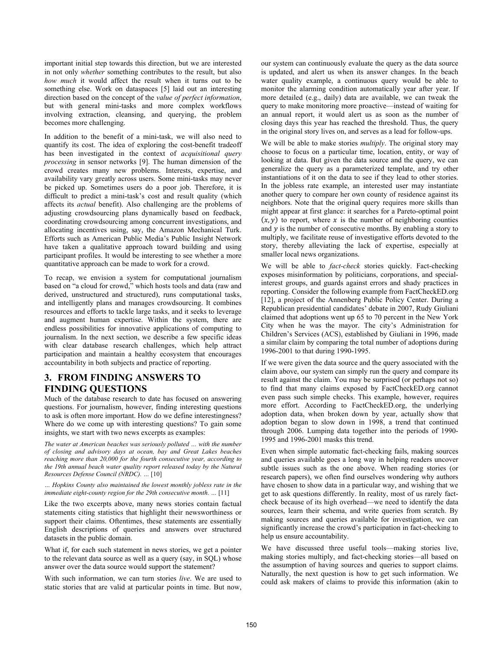important initial step towards this direction, but we are interested in not only *whether* something contributes to the result, but also *how much* it would affect the result when it turns out to be something else. Work on dataspaces [5] laid out an interesting direction based on the concept of the *value of perfect information*, but with general mini-tasks and more complex workflows involving extraction, cleansing, and querying, the problem becomes more challenging.

In addition to the benefit of a mini-task, we will also need to quantify its cost. The idea of exploring the cost-benefit tradeoff has been investigated in the context of *acquisitional query processing* in sensor networks [9]. The human dimension of the crowd creates many new problems. Interests, expertise, and availability vary greatly across users. Some mini-tasks may never be picked up. Sometimes users do a poor job. Therefore, it is difficult to predict a mini-task's cost and result quality (which affects its *actual* benefit). Also challenging are the problems of adjusting crowdsourcing plans dynamically based on feedback, coordinating crowdsourcing among concurrent investigations, and allocating incentives using, say, the Amazon Mechanical Turk. Efforts such as American Public Media's Public Insight Network have taken a qualitative approach toward building and using participant profiles. It would be interesting to see whether a more quantitative approach can be made to work for a crowd.

To recap, we envision a system for computational journalism based on "a cloud for crowd," which hosts tools and data (raw and derived, unstructured and structured), runs computational tasks, and intelligently plans and manages crowdsourcing. It combines resources and efforts to tackle large tasks, and it seeks to leverage and augment human expertise. Within the system, there are endless possibilities for innovative applications of computing to journalism. In the next section, we describe a few specific ideas with clear database research challenges, which help attract participation and maintain a healthy ecosystem that encourages accountability in both subjects and practice of reporting.

### **3. FROM FINDING ANSWERS TO FINDING QUESTIONS**

Much of the database research to date has focused on answering questions. For journalism, however, finding interesting questions to ask is often more important. How do we define interestingness? Where do we come up with interesting questions? To gain some insights, we start with two news excerpts as examples:

*The water at American beaches was seriously polluted … with the number of closing and advisory days at ocean, bay and Great Lakes beaches reaching more than 20,000 for the fourth consecutive year, according to the 19th annual beach water quality report released today by the Natural Resources Defense Council (NRDC). …* [10]

*… Hopkins County also maintained the lowest monthly jobless rate in the immediate eight-county region for the 29th consecutive month. …* [11]

Like the two excerpts above, many news stories contain factual statements citing statistics that highlight their newsworthiness or support their claims. Oftentimes, these statements are essentially English descriptions of queries and answers over structured datasets in the public domain.

What if, for each such statement in news stories, we get a pointer to the relevant data source as well as a query (say, in SQL) whose answer over the data source would support the statement?

With such information, we can turn stories *live*. We are used to static stories that are valid at particular points in time. But now,

our system can continuously evaluate the query as the data source is updated, and alert us when its answer changes. In the beach water quality example, a continuous query would be able to monitor the alarming condition automatically year after year. If more detailed (e.g., daily) data are available, we can tweak the query to make monitoring more proactive—instead of waiting for an annual report, it would alert us as soon as the number of closing days this year has reached the threshold. Thus, the query in the original story lives on, and serves as a lead for follow-ups.

We will be able to make stories *multiply*. The original story may choose to focus on a particular time, location, entity, or way of looking at data. But given the data source and the query, we can generalize the query as a parameterized template, and try other instantiations of it on the data to see if they lead to other stories. In the jobless rate example, an interested user may instantiate another query to compare her own county of residence against its neighbors. Note that the original query requires more skills than might appear at first glance: it searches for a Pareto-optimal point  $(x, y)$  to report, where x is the number of neighboring counties and  $y$  is the number of consecutive months. By enabling a story to multiply, we facilitate reuse of investigative efforts devoted to the story, thereby alleviating the lack of expertise, especially at smaller local news organizations.

We will be able to *fact-check* stories quickly. Fact-checking exposes misinformation by politicians, corporations, and specialinterest groups, and guards against errors and shady practices in reporting. Consider the following example from FactCheckED.org [12], a project of the Annenberg Public Policy Center. During a Republican presidential candidates' debate in 2007, Rudy Giuliani claimed that adoptions went up 65 to 70 percent in the New York City when he was the mayor. The city's Administration for Children's Services (ACS), established by Giuliani in 1996, made a similar claim by comparing the total number of adoptions during 1996-2001 to that during 1990-1995.

If we were given the data source and the query associated with the claim above, our system can simply run the query and compare its result against the claim. You may be surprised (or perhaps not so) to find that many claims exposed by FactCheckED.org cannot even pass such simple checks. This example, however, requires more effort. According to FactCheckED.org, the underlying adoption data, when broken down by year, actually show that adoption began to slow down in 1998, a trend that continued through 2006. Lumping data together into the periods of 1990- 1995 and 1996-2001 masks this trend.

Even when simple automatic fact-checking fails, making sources and queries available goes a long way in helping readers uncover subtle issues such as the one above. When reading stories (or research papers), we often find ourselves wondering why authors have chosen to show data in a particular way, and wishing that we get to ask questions differently. In reality, most of us rarely factcheck because of its high overhead—we need to identify the data sources, learn their schema, and write queries from scratch. By making sources and queries available for investigation, we can significantly increase the crowd's participation in fact-checking to help us ensure accountability.

We have discussed three useful tools—making stories live, making stories multiply, and fact-checking stories—all based on the assumption of having sources and queries to support claims. Naturally, the next question is how to get such information. We could ask makers of claims to provide this information (akin to